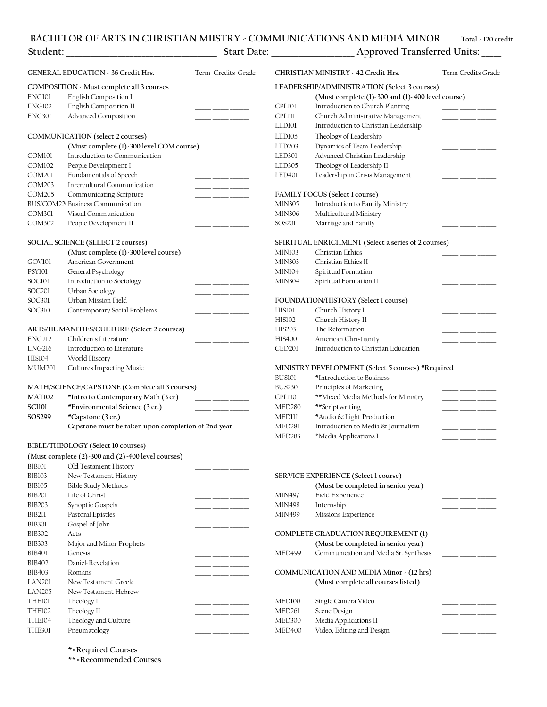### **BACHELOR OF ARTS IN CHRISTIAN MIISTRY - COMMUNICATIONS AND MEDIA MINOR Total - 120 credits**

| Student:                                  |                                           | <b>Start Date:</b> |                                              | Approved Transferred Units:                      |                    |  |
|-------------------------------------------|-------------------------------------------|--------------------|----------------------------------------------|--------------------------------------------------|--------------------|--|
|                                           | <b>GENERAL EDUCATION - 36 Credit Hrs.</b> | Term Credits Grade |                                              | <b>CHRISTIAN MINISTRY - 42 Credit Hrs.</b>       | Term Credits Grade |  |
| COMPOSITION - Must complete all 3 courses |                                           |                    | LEADERSHIP/ADMINISTRATION (Select 3 courses) |                                                  |                    |  |
| ENG101                                    | English Composition I                     |                    |                                              | (Must complete (1)-300 and (1)-400 level course) |                    |  |
| ENG102                                    | <b>English Composition II</b>             |                    | CPL101                                       | Introduction to Church Planting                  |                    |  |
| <b>ENG301</b>                             | <b>Advanced Composition</b>               |                    | CPLIII                                       | Church Administrative Management                 |                    |  |

## **COMMUNICATION (select 2 courses)** LED105 Theology of Leadership COM101 Introduction to Communication COM102 People Development I COM201 Fundamentals of Speech COM203 Inrercultural Communication COM205 Communicating Scripture BUS/COM220 Business Communication COM301 Visual Communication COM302 People Development II \_\_\_\_\_\_ \_\_\_\_\_\_ \_\_\_\_\_\_\_ SOS201 Marriage and Family \_\_\_\_\_\_ \_\_\_\_\_\_ \_\_\_\_\_\_\_

|                    | (Must complete (1)-300 level course) | MINI03         | Christian Ethics                     |  |
|--------------------|--------------------------------------|----------------|--------------------------------------|--|
| GOV101             | American Government                  | <b>MIN303</b>  | Christian Ethics II                  |  |
| PSY101             | General Psychology                   | <b>MIN104</b>  | Spiritual Formation                  |  |
| SOC101             | Introduction to Sociology            | <b>MIN304</b>  | Spiritual Formation II               |  |
| SOC <sub>201</sub> | Urban Sociology                      |                |                                      |  |
| SOC301             | Urban Mission Field                  |                | FOUNDATION/HISTORY (Select 1 course) |  |
| SOC310             | Contemporary Social Problems         | HIS101         | Church History I                     |  |
|                    |                                      | <b>TTTOLOG</b> | $-1$ $-1$ $+1$ $-1$ $+1$             |  |

|               | ARTS/HUMANITIES/CULTURE (Select 2 courses)     | HIS203                                            | The Reformation                     |
|---------------|------------------------------------------------|---------------------------------------------------|-------------------------------------|
| <b>ENG212</b> | Children's Literature                          | HIS400                                            | American Christianity               |
| ENG216        | Introduction to Literature                     | <b>CED201</b>                                     | Introduction to Christian Education |
| HIS104        | World History                                  |                                                   |                                     |
| <b>MUM201</b> | Cultures Impacting Music                       | MINISTRY DEVELOPMENT (Select 5 courses) *Required |                                     |
|               |                                                | <b>BUSI01</b>                                     | *Introduction to Business           |
|               | MATH/SCIENCE/CAPSTONE (Complete all 3 courses) | <b>BUS230</b>                                     | Principles of Marketing             |

| MATI02       | *Intro to Contemporary Math (3 cr)                 |  |
|--------------|----------------------------------------------------|--|
| <b>SCHOL</b> | *Environmental Science (3 cr.)                     |  |
| SOS299       | *Capstone (3 cr.)                                  |  |
|              | Capstone must be taken upon completion of 2nd year |  |

### **BIBLE/THEOLOGY (Select 10 courses)**

|               | (Must complete $(2)$ -300 and $(2)$ -400 level courses) |               |                                                 |
|---------------|---------------------------------------------------------|---------------|-------------------------------------------------|
| BIB101        | Old Testament History                                   |               |                                                 |
| <b>BIB103</b> | New Testament History                                   |               | <b>SERVICE EXPERIENCE (Select 1 course)</b>     |
| <b>BIB105</b> | <b>Bible Study Methods</b>                              |               | (Must be completed in senior year)              |
| <b>BIB201</b> | Life of Christ                                          | MIN497        | Field Experience                                |
| <b>BIB203</b> | Synoptic Gospels                                        | MIN498        | Internship                                      |
| <b>BIB211</b> | Pastoral Epistles                                       | MIN499        | Missions Experience                             |
| <b>BIB301</b> | Gospel of John                                          |               |                                                 |
| <b>BIB302</b> | Acts                                                    |               | <b>COMPLETE GRADUATION REQUIREMENT (1)</b>      |
| <b>BIB303</b> | Major and Minor Prophets                                |               | (Must be completed in senior year)              |
| <b>BIB401</b> | Genesis                                                 | <b>MED499</b> | Communication and Media Sr. Synthesis           |
| <b>BIB402</b> | Daniel-Revelation                                       |               |                                                 |
| <b>BIB403</b> | Romans                                                  |               | <b>COMMUNICATION AND MEDIA Minor - (12 hrs)</b> |
| <b>LAN201</b> | New Testament Greek                                     |               | (Must complete all courses listed)              |
| <b>LAN205</b> | New Testament Hebrew                                    |               |                                                 |
| THE101        | Theology I                                              | MED100        | Single Camera Video                             |
| THE102        | Theology II                                             | MED261        | Scene Design                                    |
| <b>THE104</b> | Theology and Culture                                    | MED300        | Media Applications II                           |
| <b>THE301</b> | Pneumatology                                            | MED400        | Video, Editing and Design                       |

# LED101 Introduction to Christian Leadership **(Must complete (1)-300 level COM course)** LED203 Dynamics of Team Leadership \_\_\_\_\_\_ \_\_\_\_\_\_ \_\_\_\_\_\_\_

| <b>LED301</b> | Advanced Christian Leadership   |  |
|---------------|---------------------------------|--|
| <b>LED305</b> | Theology of Leadership II       |  |
| <b>LED401</b> | Leadership in Crisis Management |  |
|               |                                 |  |
|               | FAMILY FOCUS (Select 1 course)  |  |
| <b>MIN305</b> | Introduction to Family Ministry |  |
| MIN306        | Multicultural Ministry          |  |
|               |                                 |  |

### **SOCIAL SCIENCE (SELECT 2 courses) SPIRITUAL ENRICHMENT (Select a series of 2 courses)**

| (Must complete (1)-300 level course) | MINI03        | Christian Ethics       |  |
|--------------------------------------|---------------|------------------------|--|
| American Government                  | <b>MIN303</b> | Christian Ethics II    |  |
| General Psychology                   | MIN104        | Spiritual Formation    |  |
| Introduction to Sociology            | <b>MIN304</b> | Spiritual Formation II |  |
|                                      |               |                        |  |

### FOUNDATION/HISTORY (Select 1 course)

| HIS101 | Church History I                    |  |  |
|--------|-------------------------------------|--|--|
| HIS102 | Church History II                   |  |  |
| HIS203 | The Reformation                     |  |  |
| HIS400 | American Christianity               |  |  |
| CED201 | Introduction to Christian Education |  |  |
|        |                                     |  |  |

### MINISTRY DEVELOPMENT (Select 5 courses) \*Required

|        |                                                    | BUS101        | *Introduction to Business          |
|--------|----------------------------------------------------|---------------|------------------------------------|
|        | MATH/SCIENCE/CAPSTONE (Complete all 3 courses)     | <b>BUS230</b> | Principles of Marketing            |
| MAT102 | *Intro to Contemporary Math (3 cr)                 | CPL110        | **Mixed Media Methods for Ministry |
| SCII01 | *Environmental Science (3 cr.)                     | MED280        | **Scriptwriting                    |
| SOS299 | *Capstone (3 cr.)                                  | <b>MEDIII</b> | *Audio & Light Production          |
|        | Capstone must be taken upon completion of 2nd year | MED281        | Introduction to Media & Journalism |
|        |                                                    | MED283        | *Media Applications I              |
|        |                                                    |               |                                    |

| <b>DIDIVI</b> | Old Testament History      |                                             |                                                 |
|---------------|----------------------------|---------------------------------------------|-------------------------------------------------|
| BIB103        | New Testament History      | <b>SERVICE EXPERIENCE (Select 1 course)</b> |                                                 |
| BIB105        | <b>Bible Study Methods</b> |                                             | (Must be completed in senior year)              |
| BIB201        | Life of Christ             | MIN497                                      | Field Experience                                |
| BIB203        | Synoptic Gospels           | <b>MIN498</b>                               | Internship                                      |
| BIB211        | Pastoral Epistles          | MIN499                                      | Missions Experience                             |
| <b>BIB301</b> | Gospel of John             |                                             |                                                 |
| BIB302        | Acts                       |                                             | COMPLETE GRADUATION REQUIREMENT (I)             |
| <b>BIB303</b> | Major and Minor Prophets   |                                             | (Must be completed in senior year)              |
| BIB401        | Genesis                    | <b>MED499</b>                               | Communication and Media Sr. Synthesis           |
| BIB402        | Daniel-Revelation          |                                             |                                                 |
| BIB403        | Romans                     |                                             | <b>COMMUNICATION AND MEDIA Minor - (12 hrs)</b> |
| LAN201        | New Testament Greek        |                                             | (Must complete all courses listed)              |
| LAN205        | New Testament Hebrew       |                                             |                                                 |
| THEI01        | Theology I                 | MED100                                      | Single Camera Video                             |
| <b>THE102</b> | Theology II                | MED261                                      | Scene Design                                    |
| THE104        | Theology and Culture       | MED300                                      | Media Applications II                           |
| THE301        | Pneumatology               | MED400                                      | Video, Editing and Design                       |

**\*=Required Courses**

**\*\*=Recommended Courses**